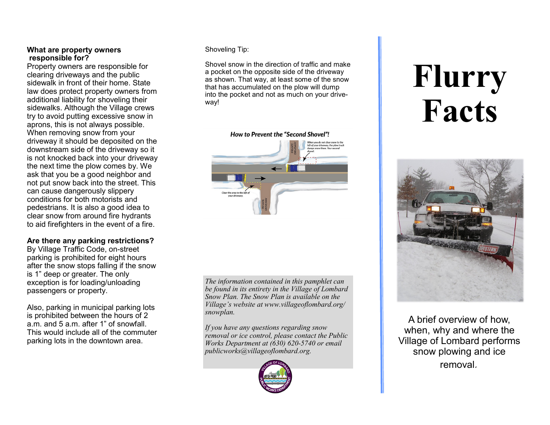## **What are property owners responsible for?**

Property owners are responsible for clearing driveways and the public sidewalk in front of their home. State law does protect property owners from additional liability for shoveling their sidewalks. Although the Village crews try to avoid putting excessive snow in aprons, this is not always possible. When removing snow from your driveway it should be deposited on the downstream side of the driveway so it is not knocked back into your driveway the next time the plow comes by. We ask that you be a good neighbor and not put snow back into the street. This can cause dangerously slippery conditions for both motorists and pedestrians. It is also a good idea to clear snow from around fire hydrants to aid firefighters in the event of a fire.

## **Are there any parking restrictions?**

By Village Traffic Code, on-street parking is prohibited for eight hours after the snow stops falling if the snow is 1" deep or greater. The only exception is for loading/unloading passengers or property.

Also, parking in municipal parking lots is prohibited between the hours of 2 a.m. and 5 a.m. after 1" of snowfall. This would include all of the commuter parking lots in the downtown area.

## Shoveling Tip:

Shovel snow in the direction of traffic and make a pocket on the opposite side of the driveway as shown. That way, at least some of the snow that has accumulated on the plow will dump into the pocket and not as much on your driveway!



*The information contained in this pamphlet can be found in its entirety in the Village of Lombard Snow Plan. The Snow Plan is available on the Village's website at www.villageoflombard.org/ snowplan.*

*If you have any questions regarding snow removal or ice control, please contact the Public Works Department at (630) 620-5740 or email publicworks@villageoflombard.org.*



# **Flurry Facts**



A brief overview of how, when, why and where the Village of Lombard performs snow plowing and ice removal*.*